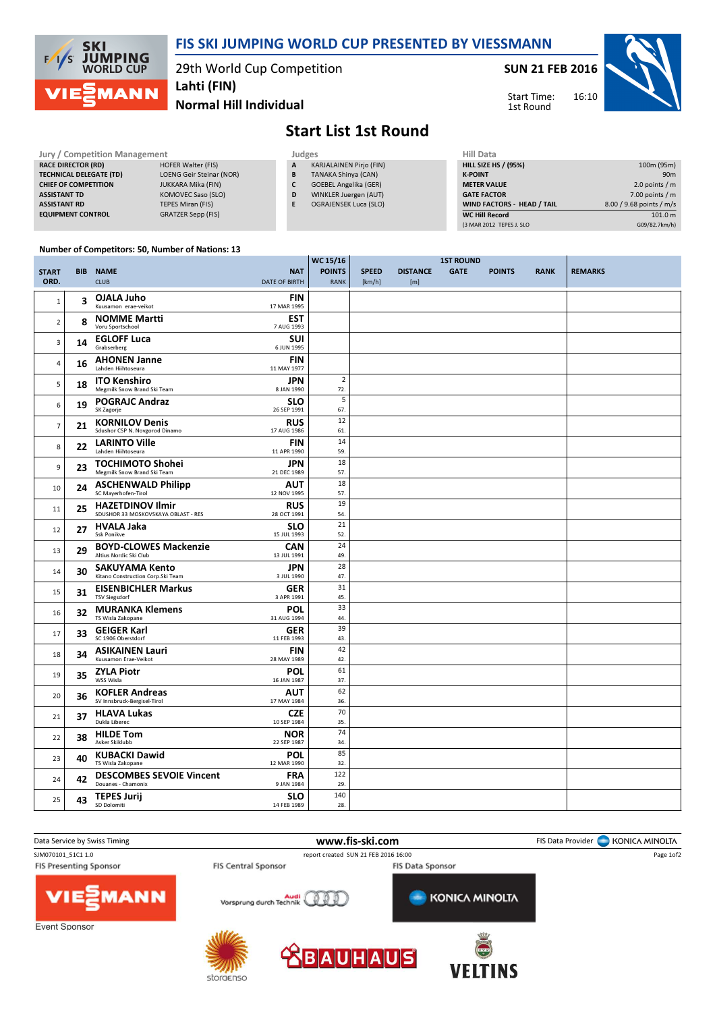

## FIS SKI JUMPING WORLD CUP PRESENTED BY VIESSMANN

29th World Cup Competition

SUN 21 FEB 2016

Start Time: 1st Round



Normal Hill Individual Lahti (FIN)

## Start List 1st Round

 $\frac{1}{15}$  116

| <b>Jury / Competition Management</b> |                                 |  | Judges | <b>Hill Data</b>               |  |                    |
|--------------------------------------|---------------------------------|--|--------|--------------------------------|--|--------------------|
| <b>RACE DIRECTOR (RD)</b>            | <b>HOFER Walter (FIS)</b>       |  | A      | <b>KARJALAINEN Pirjo (FIN)</b> |  | <b>HILL SIZE H</b> |
| <b>TECHNICAL DELEGATE (TD)</b>       | <b>LOENG Geir Steinar (NOR)</b> |  | B      | <b>TANAKA Shinya (CAN)</b>     |  | <b>K-POINT</b>     |
| <b>CHIEF OF COMPETITION</b>          | JUKKARA Mika (FIN)              |  |        | <b>GOEBEL Angelika (GER)</b>   |  | <b>METER VAI</b>   |
| <b>ASSISTANT TD</b>                  | KOMOVEC Saso (SLO)              |  | D      | WINKLER Juergen (AUT)          |  | <b>GATE FACT</b>   |
| <b>ASSISTANT RD</b>                  | TEPES Miran (FIS)               |  |        | <b>OGRAJENSEK Luca (SLO)</b>   |  | <b>WIND FACT</b>   |
| <b>EQUIPMENT CONTROL</b>             | <b>GRATZER Sepp (FIS)</b>       |  |        |                                |  | WC Hill Re         |

| <b>Hill Data</b>                  |                          |
|-----------------------------------|--------------------------|
| <b>HILL SIZE HS / (95%)</b>       | 100m (95m)               |
| <b>K-POINT</b>                    | 90 <sub>m</sub>          |
| <b>METER VALUE</b>                | 2.0 points $/m$          |
| <b>GATE FACTOR</b>                | $7.00$ points $/m$       |
| <b>WIND FACTORS - HEAD / TAIL</b> | 8.00 / 9.68 points / m/s |
| <b>WC Hill Record</b>             | 101.0 m                  |
| (3 MAR 2012 TEPES J. SLO          | G09/82.7km/h)            |

16:10

## Number of Competitors: 50, Number of Nations: 13

|                      |    |                                                                |                                    | WC 15/16                     |                        | <b>1ST ROUND</b>       |             |               |             |                |
|----------------------|----|----------------------------------------------------------------|------------------------------------|------------------------------|------------------------|------------------------|-------------|---------------|-------------|----------------|
| <b>START</b><br>ORD. |    | <b>BIB NAME</b><br><b>CLUB</b>                                 | <b>NAT</b><br><b>DATE OF BIRTH</b> | <b>POINTS</b><br><b>RANK</b> | <b>SPEED</b><br>[km/h] | <b>DISTANCE</b><br>[m] | <b>GATE</b> | <b>POINTS</b> | <b>RANK</b> | <b>REMARKS</b> |
| $\mathbf 1$          | 3  | OJALA Juho<br>Kuusamon erae-veikot                             | <b>FIN</b><br>17 MAR 1995          |                              |                        |                        |             |               |             |                |
| $\overline{2}$       | 8  | <b>NOMME Martti</b><br>Voru Sportschool                        | <b>EST</b><br>7 AUG 1993           |                              |                        |                        |             |               |             |                |
| 3                    | 14 | <b>EGLOFF Luca</b><br>Grabserberg                              | <b>SUI</b><br>6 JUN 1995           |                              |                        |                        |             |               |             |                |
| 4                    | 16 | <b>AHONEN Janne</b><br>Lahden Hiihtoseura                      | <b>FIN</b><br>11 MAY 1977          |                              |                        |                        |             |               |             |                |
| 5                    | 18 | <b>ITO Kenshiro</b><br>Megmilk Snow Brand Ski Team             | JPN<br>8 JAN 1990                  | $\overline{2}$<br>72.        |                        |                        |             |               |             |                |
| 6                    | 19 | <b>POGRAJC Andraz</b><br>SK Zagorje                            | <b>SLO</b><br>26 SEP 1991          | 5<br>67.                     |                        |                        |             |               |             |                |
| $\overline{7}$       | 21 | <b>KORNILOV Denis</b><br>Sdushor CSP N. Novgorod Dinamo        | <b>RUS</b><br>17 AUG 1986          | 12<br>61.                    |                        |                        |             |               |             |                |
| 8                    | 22 | <b>LARINTO Ville</b><br>Lahden Hiihtoseura                     | <b>FIN</b><br>11 APR 1990          | 14<br>59.                    |                        |                        |             |               |             |                |
| 9                    | 23 | <b>TOCHIMOTO Shohei</b><br>Megmilk Snow Brand Ski Team         | <b>JPN</b><br>21 DEC 1989          | 18<br>57.                    |                        |                        |             |               |             |                |
| 10                   | 24 | <b>ASCHENWALD Philipp</b><br>SC Mayerhofen-Tirol               | <b>AUT</b><br>12 NOV 1995          | 18<br>57.                    |                        |                        |             |               |             |                |
| 11                   | 25 | <b>HAZETDINOV Ilmir</b><br>SDUSHOR 33 MOSKOVSKAYA OBLAST - RES | <b>RUS</b><br>28 OCT 1991          | 19<br>54.                    |                        |                        |             |               |             |                |
| 12                   | 27 | <b>HVALA Jaka</b><br><b>Ssk Ponikve</b>                        | <b>SLO</b><br>15 JUL 1993          | 21<br>52.                    |                        |                        |             |               |             |                |
| 13                   | 29 | <b>BOYD-CLOWES Mackenzie</b><br>Altius Nordic Ski Club         | CAN<br>13 JUL 1991                 | 24<br>49.                    |                        |                        |             |               |             |                |
| 14                   | 30 | <b>SAKUYAMA Kento</b><br>Kitano Construction Corp.Ski Team     | JPN<br>3 JUL 1990                  | 28<br>47.                    |                        |                        |             |               |             |                |
| 15                   | 31 | <b>EISENBICHLER Markus</b><br><b>TSV Siegsdorf</b>             | <b>GER</b><br>3 APR 1991           | 31<br>45.                    |                        |                        |             |               |             |                |
| 16                   | 32 | <b>MURANKA Klemens</b><br>TS Wisla Zakopane                    | <b>POL</b><br>31 AUG 1994          | 33<br>44.                    |                        |                        |             |               |             |                |
| 17                   | 33 | <b>GEIGER Karl</b><br>SC 1906 Oberstdorf                       | <b>GER</b><br>11 FEB 1993          | 39<br>43.                    |                        |                        |             |               |             |                |
| 18                   | 34 | <b>ASIKAINEN Lauri</b><br>Kuusamon Erae-Veikot                 | <b>FIN</b><br>28 MAY 1989          | 42<br>42.                    |                        |                        |             |               |             |                |
| 19                   | 35 | <b>ZYLA Piotr</b><br>WSS Wisla                                 | <b>POL</b><br>16 JAN 1987          | 61<br>37.                    |                        |                        |             |               |             |                |
| 20                   | 36 | <b>KOFLER Andreas</b><br>SV Innsbruck-Bergisel-Tirol           | AUT<br>17 MAY 1984                 | 62<br>36.                    |                        |                        |             |               |             |                |
| 21                   | 37 | <b>HLAVA Lukas</b><br>Dukla Liberec                            | <b>CZE</b><br>10 SEP 1984          | 70<br>35.                    |                        |                        |             |               |             |                |
| 22                   | 38 | <b>HILDE Tom</b><br>Asker Skiklubb                             | <b>NOR</b><br>22 SEP 1987          | 74<br>34.                    |                        |                        |             |               |             |                |
| 23                   | 40 | <b>KUBACKI Dawid</b><br>TS Wisla Zakopane                      | <b>POL</b><br>12 MAR 1990          | 85<br>32.                    |                        |                        |             |               |             |                |
| 24                   | 42 | <b>DESCOMBES SEVOIE Vincent</b><br>Douanes - Chamonix          | <b>FRA</b><br>9 JAN 1984           | 122<br>29.                   |                        |                        |             |               |             |                |
| 25                   | 43 | <b>TEPES Jurij</b><br>SD Dolomiti                              | <b>SLO</b><br>14 FEB 1989          | 140<br>28.                   |                        |                        |             |               |             |                |



storaenso

**VEITINS**